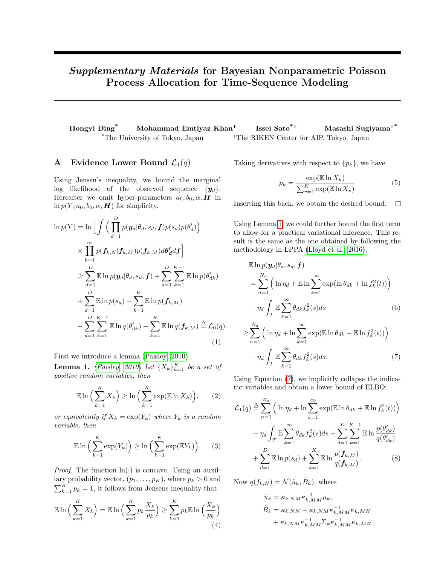# Supplementary Materials for Bayesian Nonparametric Poisson Process Allocation for Time-Sequence Modeling

Hongyi Ding\* Mohammad Emtiyaz Khan<sup>+</sup> Issei Sato $*$ <sup>+</sup> Masashi Sugiyama<sup>+\*</sup>  $*$ The University of Tokyo, Japan  $*$ The RIKEN Center for AIP, Tokyo, Japan

## A Evidence Lower Bound  $\mathcal{L}_1(q)$

Using Jensen's inequality, we bound the marginal log likelihood of the observed sequence  $\{y_d\}$ . Hereafter we omit hyper-parameters  $a_0, b_0, \alpha, H$  in  $\ln p(Y; a_0, b_0, \alpha, H)$  for simplicity.

$$
\ln p(Y) = \ln \Big[ \int \Big( \prod_{d=1}^{D} p(\mathbf{y}_{d} | \theta_{d}, s_{d}, \mathbf{f}) p(s_{d}) p(\theta'_{d}) \Big) \times \prod_{k=1}^{\infty} p(\mathbf{f}_{k,N} | \mathbf{f}_{k,M}) p(\mathbf{f}_{k,M}) d\theta'_{d} d\mathbf{f} \Big]
$$
  
\n
$$
\geq \sum_{d=1}^{D} \mathbb{E} \ln p(\mathbf{y}_{d} | \theta_{d}, s_{d}, \mathbf{f}) + \sum_{d=1}^{D} \sum_{k=1}^{K-1} \mathbb{E} \ln p(\theta'_{dk})
$$
  
\n
$$
+ \sum_{d=1}^{D} \mathbb{E} \ln p(s_{d}) + \sum_{k=1}^{K} \mathbb{E} \ln p(\mathbf{f}_{k,M})
$$
  
\n
$$
- \sum_{d=1}^{D} \sum_{k=1}^{K-1} \mathbb{E} \ln q(\theta'_{dk}) - \sum_{k=1}^{K} \mathbb{E} \ln q(\mathbf{f}_{k,M}) \stackrel{\Delta}{=} \mathcal{L}_{0}(q).
$$
  
\n(1)

First we introduce a lemma [\(Paisley, 2010\)](#page-4-0).

**Lemma 1.** [\(Paisley, 2010\)](#page-4-0) Let  $\{X_k\}_{k=1}^K$  be a set of positive random variables, then

$$
\mathbb{E}\ln\Big(\sum_{k=1}^{K}X_k\Big)\geq \ln\Big(\sum_{k=1}^{K}\exp(\mathbb{E}\ln X_k)\Big). \qquad(2)
$$

or equivalently if  $X_k = \exp(Y_k)$  where  $Y_k$  is a random variable, then

$$
\mathbb{E}\ln\left(\sum_{k=1}^{K}\exp(Y_k)\right) \ge \ln\left(\sum_{k=1}^{K}\exp(\mathbb{E}Y_k)\right). \tag{3}
$$

*Proof.* The function  $\ln(\cdot)$  is concave. Using an auxiliary probability vector,  $(p_1, \ldots, p_K)$ , where  $p_k > 0$  and  $\sum_{k=1}^{K} p_k = 1$ , it follows from Jensens inequality that

$$
\mathbb{E}\ln\left(\sum_{k=1}^{K} X_k\right) = \mathbb{E}\ln\left(\sum_{k=1}^{K} p_k \frac{X_k}{p_k}\right) \ge \sum_{k=1}^{K} p_k \mathbb{E}\ln\left(\frac{X_k}{p_k}\right)
$$
\n(4)

Taking derivatives with respect to  $\{p_k\}$ , we have

<span id="page-0-0"></span>
$$
p_k = \frac{\exp(\mathbb{E} \ln X_k)}{\sum_{v=1}^{K} \exp(\mathbb{E} \ln X_v)}
$$
(5)

Inserting this back, we obtain the desired bound.  $\Box$ 

Using Lemma [1,](#page-0-0) we could further bound the first term to allow for a practical variational inference. This result is the same as the one obtained by following the methodology in LPPA [\(Lloyd et al., 2016\)](#page-4-1).

$$
\mathbb{E} \ln p(\mathbf{y}_d | \theta_d, s_d, \mathbf{f})
$$
\n
$$
= \sum_{n=1}^{N_d} \left( \ln \eta_d + \mathbb{E} \ln \sum_{k=1}^{\infty} \exp(\ln \theta_{dk} + \ln f_k^2(t)) \right)
$$
\n
$$
- \eta_d \int_{\mathcal{T}} \mathbb{E} \sum_{k=1}^{\infty} \theta_{dk} f_k^2(s) ds \qquad (6)
$$
\n
$$
\geq \sum_{n=1}^{N_d} \left( \ln \eta_d + \ln \sum_{k=1}^{\infty} \exp(\mathbb{E} \ln \theta_{dk} + \mathbb{E} \ln f_k^2(t)) \right)
$$

<span id="page-0-1"></span>
$$
-\eta_d \int_{\mathcal{T}} \mathbb{E} \sum_{k=1}^{\infty} \theta_{dk} f_k^2(s) ds.
$$
 (7)

Using Equation [\(7\)](#page-0-1), we implicitly collapse the indicator variables and obtain a lower bound of ELBO:

$$
\mathcal{L}_1(q) \stackrel{\Delta}{=} \sum_{n=1}^{N_d} \left( \ln \eta_d + \ln \sum_{k=1}^{\infty} \exp(\mathbb{E} \ln \theta_{dk} + \mathbb{E} \ln f_k^2(t)) \right) \n- \eta_d \int_{\mathcal{T}} \mathbb{E} \sum_{k=1}^{\infty} \theta_{dk} f_k^2(s) ds + \sum_{d=1}^D \sum_{k=1}^{K-1} \mathbb{E} \ln \frac{p(\theta_{dk}'}{q(\theta_{dk}')} \n+ \sum_{d=1}^D \mathbb{E} \ln p(s_d) + \sum_{k=1}^K \mathbb{E} \ln \frac{p(f_{k,M})}{q(f_{k,M})}. \tag{8}
$$

Now  $q(f_{k,N}) = \mathcal{N}(\tilde{u}_k, \tilde{B}_k)$ , where

<span id="page-0-2"></span>
$$
\tilde{u}_k = \kappa_{k,NM} \kappa_{k,MM}^{-1} \mu_k,
$$
  
\n
$$
\tilde{B}_k = \kappa_{k,NN} - \kappa_{k,NM} \kappa_{k,MM}^{-1} \kappa_{k,MN}
$$
  
\n
$$
+ \kappa_{k,NM} \kappa_{k,MM}^{-1} \Sigma_k \kappa_{k,MM}^{-1} \kappa_{k,MN}
$$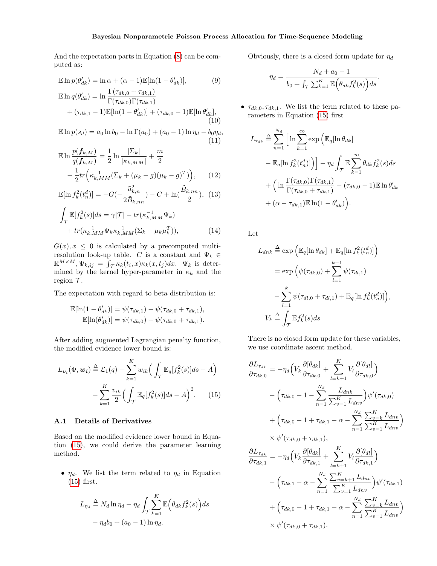And the expectation parts in Equation [\(8\)](#page-0-2) can be computed as:

$$
\mathbb{E}\ln p(\theta'_{dk}) = \ln \alpha + (\alpha - 1)\mathbb{E}[\ln(1 - \theta'_{dk})],\tag{9}
$$

$$
\mathbb{E} \ln q(\theta_{dk}') = \ln \frac{\Gamma(\theta_{dk}, 0 + \theta_{dk}, 1)}{\Gamma(\tau_{dk}, 0)\Gamma(\tau_{dk}, 1)} + (\tau_{dk, 1} - 1)\mathbb{E}[\ln(1 - \theta_{dk}')] + (\tau_{dk, 0} - 1)\mathbb{E}[\ln \theta_{dk}'],
$$
\n(10)

$$
\mathbb{E}\ln p(s_d) = a_0 \ln b_0 - \ln \Gamma(a_0) + (a_0 - 1) \ln \eta_d - b_0 \eta_d,
$$
\n(11)

$$
\mathbb{E} \ln \frac{p(f_{k,M})}{q(f_{k,M})} = \frac{1}{2} \ln \frac{|\Sigma_k|}{|\kappa_{k,MM}|} + \frac{m}{2} - \frac{1}{2} tr \left( \kappa_{k,MM}^{-1} (\Sigma_k + (\mu_k - g)(\mu_k - g)^T) \right), \quad (12)
$$

$$
\mathbb{E}[\ln f_k^2(t_n^d)] = -G(-\frac{\tilde{u}_{k,n}^2}{2\tilde{B}_{k,nn}}) - C + \ln(\frac{\tilde{B}_{k,nn}}{2}), (13)
$$

$$
\int_{\mathcal{T}} \mathbb{E}[f_k^2(s)]ds = \gamma |\mathcal{T}| - tr(\kappa_{k,MM}^{-1} \Psi_k)
$$
  
+ 
$$
tr(\kappa_{k,MM}^{-1} \Psi_k \kappa_{k,MM}^{-1} (\Sigma_k + \mu_k \mu_k^T)),
$$
 (14)

 $G(x), x \leq 0$  is calculated by a precomputed multiresolution look-up table.  $C$  is a constant and  $\Psi_k \in$  $\mathbb{R}^{M \times M}, \Psi_{k, ij} = \int_{\mathcal{T}} \kappa_k(t_i, x) \kappa_k(x, t_j) dx. \Psi_k$  is determined by the kernel hyper-parameter in  $\kappa_k$  and the region  $\mathcal{T}$ .

The expectation with regard to beta distribution is:

$$
\mathbb{E}[\ln(1 - \theta'_{dk})] = \psi(\tau_{dk,1}) - \psi(\tau_{dk,0} + \tau_{dk,1}),
$$
  

$$
\mathbb{E}[\ln(\theta'_{dk})] = \psi(\tau_{dk,0}) - \psi(\tau_{dk,0} + \tau_{dk,1}).
$$

After adding augmented Lagrangian penalty function, the modified evidence lower bound is:

$$
L_{\boldsymbol{v}_i}(\Phi, \boldsymbol{w}_i) \stackrel{\Delta}{=} \mathcal{L}_1(q) - \sum_{k=1}^K w_{ik} \Big( \int_{\mathcal{T}} \mathbb{E}_q[f_k^2(s)] ds - A \Big) - \sum_{k=1}^K \frac{v_{ik}}{2} \Big( \int_{\mathcal{T}} \mathbb{E}_q[f_k^2(s)] ds - A \Big)^2.
$$
 (15)

### A.1 Details of Derivatives

Based on the modified evidence lower bound in Equation [\(15\)](#page-1-0), we could derive the parameter learning method.

•  $\eta_d$ . We list the term related to  $\eta_d$  in Equation [\(15\)](#page-1-0) first.

$$
L_{\eta_d} \stackrel{\Delta}{=} N_d \ln \eta_d - \eta_d \int_{\mathcal{T}} \sum_{k=1}^K \mathbb{E} \Big( \theta_{dk} f_k^2(s) \Big) ds
$$

$$
- \eta_d b_0 + (a_0 - 1) \ln \eta_d.
$$

Obviously, there is a closed form update for  $\eta_d$ 

$$
\eta_d = \frac{N_d + a_0 - 1}{b_0 + \int_{\mathcal{T}} \sum_{k=1}^K \mathbb{E}\left(\theta_{dk} f_k^2(s)\right) ds}.
$$

•  $\tau_{dk,0}, \tau_{dk,1}$ . We list the term related to these parameters in Equation [\(15\)](#page-1-0) first

$$
L_{\tau_{dk}} \triangleq \sum_{n=1}^{N_d} \left[ \ln \sum_{k=1}^{\infty} \exp \left( \mathbb{E}_q [\ln \theta_{dk}] \right) \right]
$$
  
-  $\mathbb{E}_q [\ln f_k^2(t_n^d)] \Big) - \eta_d \int_{\mathcal{T}} \mathbb{E} \sum_{k=1}^{\infty} \theta_{dk} f_k^2(s) ds$   
+  $\left( \ln \frac{\Gamma(\tau_{dk,0}) \Gamma(\tau_{dk,1})}{\Gamma(\tau_{dk,0} + \tau_{dk,1})} - (\tau_{dk,0} - 1) \mathbb{E} \ln \theta_{dk}' + (\alpha - \tau_{dk,1}) \mathbb{E} \ln (1 - \theta_{dk}').$ 

Let

$$
L_{dnk} \stackrel{\Delta}{=} \exp\left(\mathbb{E}_q[\ln \theta_{dk}] + \mathbb{E}_q[\ln f_k^2(t_n^d)]\right)
$$
  

$$
= \exp\left(\psi(\tau_{dk,0}) + \sum_{l=1}^{k-1} \psi(\tau_{dl,1})\right)
$$
  

$$
- \sum_{l=1}^k \psi(\tau_{dl,0} + \tau_{dl,1}) + \mathbb{E}_q[\ln f_k^2(t_n^d)]\right),
$$
  

$$
V_k \stackrel{\Delta}{=} \int_{\mathcal{T}} \mathbb{E} f_k^2(s)ds
$$

There is no closed form update for these variables, we use coordinate ascent method.

<span id="page-1-0"></span>
$$
\frac{\partial L_{\tau_{dk}}}{\partial \tau_{dk,0}} = -\eta_d \Big( V_k \frac{\partial [\theta_{dk}]}{\partial \tau_{dk,0}} + \sum_{l=k+1}^K V_l \frac{\partial [\theta_{dl}]}{\partial \tau_{dk,0}} \Big)
$$

$$
- \Big( \tau_{dk,0} - 1 - \sum_{n=1}^{N_d} \frac{L_{dnk}}{\sum_{v=1}^K L_{dnv}} \Big) \psi'(\tau_{dk,0})
$$

$$
+ \Big( \tau_{dk,0} - 1 + \tau_{dk,1} - \alpha - \sum_{n=1}^{N_d} \frac{\sum_{v=k}^K L_{dnv}}{\sum_{v=1}^K L_{dnv}} \Big)
$$

$$
\times \psi'(\tau_{dk,0} + \tau_{dk,1}),
$$

$$
\frac{\partial L_{\tau_{dk}}}{\partial \tau_{dk,1}} = -\eta_d \Big( V_k \frac{\partial [\theta_{dk}]}{\partial \tau_{dk,1}} + \sum_{l=k+1}^K V_l \frac{\partial [\theta_{dl}]}{\partial \tau_{dk,1}} \Big)
$$

$$
- \Big( \tau_{dk,1} - \alpha - \sum_{n=1}^{N_d} \frac{\sum_{v=k+1}^K L_{dnv}}{\sum_{v=1}^K L_{dnv}} \Big) \psi'(\tau_{dk,1})
$$

$$
+ \Big( \tau_{dk,0} - 1 + \tau_{dk,1} - \alpha - \sum_{n=1}^{N_d} \frac{\sum_{v=k}^K L_{dnv}}{\sum_{v=1}^K L_{dnv}} \Big)
$$

$$
\times \psi'(\tau_{dk,0} + \tau_{dk,1}).
$$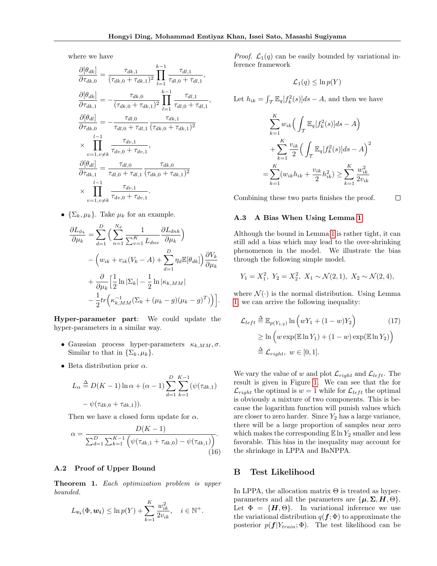,

where we have

$$
\frac{\partial[\theta_{dk}]}{\partial \tau_{dk,0}} = \frac{\tau_{dk,1}}{(\tau_{dk,0} + \tau_{dk,1})^2} \prod_{l=1}^{k-1} \frac{\tau_{dl,1}}{\tau_{dl,0} + \tau_{dl,1}},
$$
\n
$$
\frac{\partial[\theta_{dk}]}{\partial \tau_{dk,1}} = -\frac{\tau_{dk,0}}{(\tau_{dk,0} + \tau_{dk,1})^2} \prod_{l=1}^{k-1} \frac{\tau_{dl,1}}{\tau_{dl,0} + \tau_{dl,1}}.
$$
\n
$$
\frac{\partial[\theta_{dl}]}{\partial \tau_{dk,0}} = -\frac{\tau_{dl,0}}{\tau_{dl,0} + \tau_{dl,1}} \frac{\tau_{dk,1}}{(\tau_{dk,0} + \tau_{dk,1})^2}
$$
\n
$$
\times \prod_{v=1, v \neq k}^{l-1} \frac{\tau_{dv,1}}{\tau_{dv,0} + \tau_{dv,1}},
$$
\n
$$
\frac{\partial[\theta_{dl}]}{\partial \tau_{dk,1}} = \frac{\tau_{dl,0}}{\tau_{dl,0} + \tau_{dl,1}} \frac{\tau_{dk,0}}{(\tau_{dk,0} + \tau_{dk,1})^2}
$$
\n
$$
\times \prod_{v=1, v \neq k}^{l-1} \frac{\tau_{dv,1}}{\tau_{dv,0} + \tau_{dv,1}}.
$$

•  $\{\Sigma_k, \mu_k\}$ . Take  $\mu_k$  for an example.

$$
\frac{\partial L_{\phi_k}}{\partial \mu_k} = \sum_{d=1}^D \Big( \sum_{n=1}^{N_d} \frac{1}{\sum_{v=1}^K L_{dnv}} \frac{\partial L_{dnk}}{\partial \mu_k} \Big) \n- \Big( w_{ik} + v_{ik} (V_k - A) + \sum_{d=1}^D \eta_d \mathbb{E}[\theta_{dk}] \Big) \frac{\partial V_k}{\partial \mu_k} \n+ \frac{\partial}{\partial \mu_k} \Big[ \frac{1}{2} \ln |\Sigma_k| - \frac{1}{2} \ln |\kappa_{k,MM}| \n- \frac{1}{2} tr \Big( \kappa_{k,MM}^{-1} (\Sigma_k + (\mu_k - g)(\mu_k - g)^T) \Big) \Big].
$$

Hyper-parameter part: We could update the hyper-parameters in a similar way.

- Gaussian process hyper-parameters  $\kappa_{k,MM}, \sigma$ . Similar to that in  $\{\Sigma_k, \mu_k\}.$
- Beta distribution prior  $\alpha$ .

$$
L_{\alpha} \stackrel{\Delta}{=} D(K-1) \ln \alpha + (\alpha - 1) \sum_{d=1}^{D} \sum_{k=1}^{K-1} (\psi(\tau_{dk,1}) - \psi(\tau_{dk,0} + \tau_{dk,1})).
$$

Then we have a closed form update for  $\alpha$ .

$$
\alpha = \frac{D(K-1)}{\sum_{d=1}^{D} \sum_{k=1}^{K-1} \left( \psi(\tau_{dk,1} + \tau_{dk,0}) - \psi(\tau_{dk,1}) \right)}.
$$
\n(16)

## A.2 Proof of Upper Bound

Theorem 1. Each optimization problem is upper bounded.

$$
L_{\mathbf{v}_i}(\Phi, \mathbf{w}_i) \leq \ln p(Y) + \sum_{k=1}^K \frac{w_{ik}^2}{2v_{ik}}, \quad i \in \mathbb{N}^+.
$$

*Proof.*  $\mathcal{L}_1(q)$  can be easily bounded by variational inference framework

$$
\mathcal{L}_1(q) \leq \ln p(Y)
$$

Let  $h_{ik} = \int_{\mathcal{T}} \mathbb{E}_q[f_k^2(s)]ds - A$ , and then we have

$$
\sum_{k=1}^{K} w_{ik} \Big( \int_{\mathcal{T}} \mathbb{E}_{q} [f_{k}^{2}(s)] ds - A \Big) + \sum_{k=1}^{K} \frac{v_{ik}}{2} \Big( \int_{\mathcal{T}} \mathbb{E}_{q} [f_{k}^{2}(s)] ds - A \Big)^{2} = \sum_{k=1}^{K} (w_{ik} h_{ik} + \frac{v_{ik}}{2} h_{ik}^{2}) \ge \sum_{k=1}^{K} \frac{w_{ik}^{2}}{2v_{ik}}
$$

Combining these two parts finishes the proof.  $\Box$ 

#### A.3 A Bias When Using Lemma [1](#page-0-0)

Although the bound in Lemma [1](#page-0-0) is rather tight, it can still add a bias which may lead to the over-shrinking phenomenon in the model. We illustrate the bias through the following simple model.

$$
Y_1 = X_1^2, \ Y_2 = X_2^2, \ X_1 \sim \mathcal{N}(2, 1), \ X_2 \sim \mathcal{N}(2, 4),
$$

where  $\mathcal{N}(\cdot)$  is the normal distribution. Using Lemma [1,](#page-0-0) we can arrive the following inequality:

$$
\mathcal{L}_{left} \triangleq \mathbb{E}_{p(Y_{1:2})} \ln \left( wY_1 + (1 - w)Y_2 \right) \tag{17}
$$
\n
$$
\geq \ln \left( w \exp(\mathbb{E} \ln Y_1) + (1 - w) \exp(\mathbb{E} \ln Y_2) \right)
$$
\n
$$
\triangleq \mathcal{L}_{right}, \ w \in [0, 1].
$$

We vary the value of w and plot  $\mathcal{L}_{right}$  and  $\mathcal{L}_{left}$ . The result is given in Figure [1.](#page-3-0) We can see that the for  $\mathcal{L}_{right}$  the optimal is  $w = 1$  while for  $\mathcal{L}_{left}$  the optimal is obviously a mixture of two components. This is because the logarithm function will punish values which are closer to zero harder. Since  $Y_2$  has a large variance, there will be a large proportion of samples near zero which makes the corresponding  $\mathbb{E} \ln Y_2$  smaller and less favorable. This bias in the inequality may account for the shrinkage in LPPA and BaNPPA.

#### B Test Likelihood

In LPPA, the allocation matrix  $\Theta$  is treated as hyperparameters and all the parameters are  $\{\mu, \Sigma, H, \Theta\}.$ Let  $\Phi = \{H, \Theta\}$ . In variational inference we use the variational distribution  $q(f; \Phi)$  to approximate the posterior  $p(\boldsymbol{f}|Y_{train}; \boldsymbol{\Phi})$ . The test likelihood can be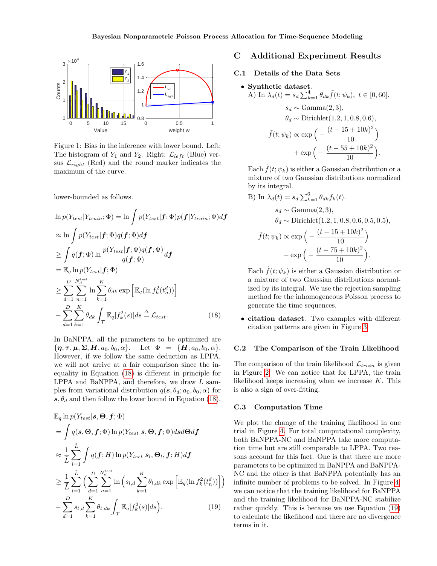<span id="page-3-0"></span>

Figure 1: Bias in the inference with lower bound. Left: The histogram of  $Y_1$  and  $Y_2$ . Right:  $\mathcal{L}_{left}$  (Blue) versus  $\mathcal{L}_{right}$  (Red) and the round marker indicates the maximum of the curve.

lower-bounded as follows.

$$
\ln p(Y_{test}|Y_{train}; \Phi) = \ln \int p(Y_{test}|f; \Phi)p(f|Y_{train}; \Phi)df
$$
  
\n
$$
\approx \ln \int p(Y_{test}|f; \Phi)q(f; \Phi)df
$$
  
\n
$$
\geq \int q(f; \Phi) \ln \frac{p(Y_{test}|f; \Phi)q(f; \Phi)}{q(f; \Phi)}df
$$
  
\n
$$
= \mathbb{E}_{q} \ln p(Y_{test}|f; \Phi)
$$
  
\n
$$
\geq \sum_{d=1}^{D} \sum_{n=1}^{N_{d}^{\text{test}}} \ln \sum_{k=1}^{K} \theta_{dk} \exp \left[ \mathbb{E}_{q}(\ln f_{k}^{2}(t_{n}^{d})) \right]
$$
  
\n
$$
- \sum_{d=1}^{D} \sum_{k=1}^{K} \theta_{dk} \int_{\mathcal{T}} \mathbb{E}_{q}[f_{k}^{2}(s)]ds \triangleq \mathcal{L}_{test}.
$$
 (18)

In BaNPPA, all the parameters to be optimized are  ${\lbrace \pmb{\eta},\pmb{\tau},\pmb{\mu},\pmb{\Sigma},\pmb{H},a_0,b_0,\alpha \rbrace}$ . Let  $\Phi = {\lbrace \pmb{H},a_0,b_0,\alpha \rbrace}$ . However, if we follow the same deduction as LPPA, we will not arrive at a fair comparison since the inequality in Equation [\(18\)](#page-3-1) is different in principle for LPPA and BaNPPA, and therefore, we draw L samples from variational distribution  $q(s, \theta_d; a_0, b_0, \alpha)$  for  $s, \theta_d$  and then follow the lower bound in Equation [\(18\)](#page-3-1).

$$
\mathbb{E}_{q} \ln p(Y_{test}|s, \Theta, f; \Phi)
$$
\n
$$
= \int q(s, \Theta, f; \Phi) \ln p(Y_{test}|s, \Theta, f; \Phi) ds d\Theta df
$$
\n
$$
\approx \frac{1}{\tilde{L}} \sum_{l=1}^{\tilde{L}} \int q(f; H) \ln p(Y_{test}|s_l, \Theta_l, f; H) df
$$
\n
$$
\geq \frac{1}{\tilde{L}} \sum_{l=1}^{\tilde{L}} \Big( \sum_{d=1}^{D} \sum_{n=1}^{N_{d}^{test}} \ln \Big( s_{l,d} \sum_{k=1}^{K} \theta_{l,dk} \exp \Big[ \mathbb{E}_{q} (\ln f_{k}^{2}(t_{n}^{d})) \Big] \Big)
$$
\n
$$
- \sum_{d=1}^{D} s_{l,d} \sum_{k=1}^{K} \theta_{l,dk} \int_{\mathcal{T}} \mathbb{E}_{q}[f_{k}^{2}(s)] ds \Big). \tag{19}
$$

# C Additional Experiment Results

#### C.1 Details of the Data Sets

• **Synthetic dataset.**  
\nA) In 
$$
\lambda_d(t) = s_d \sum_{k=1}^4 \theta_{dk} \tilde{f}(t; \psi_k)
$$
,  $t \in [0, 60]$ .  
\n $s_d \sim \text{Gamma}(2, 3)$ ,  
\n $\theta_d \sim \text{Dirichlet}(1.2, 1, 0.8, 0.6)$ ,  
\n $\tilde{f}(t; \psi_k) \propto \exp\left(-\frac{(t - 15 + 10k)^2}{10}\right)$   
\n $+\exp\left(-\frac{(t - 55 + 10k)^2}{10}\right)$ .

Each  $\tilde{f}(t; \psi_k)$  is either a Gaussian distribution or a mixture of two Gaussian distributions normalized by its integral.

B) In 
$$
\lambda_d(t) = s_d \sum_{k=1}^6 \theta_{dk} f_k(t)
$$
.  
\n $s_d \sim \text{Gamma}(2, 3)$ ,  
\n $\theta_d \sim \text{Dirichlet}(1.2, 1, 0.8, 0.6, 0.5, 0.5)$ ,  
\n $\tilde{f}(t; \psi_k) \propto \exp\left(-\frac{(t - 15 + 10k)^2}{10}\right)$   
\n $+\exp\left(-\frac{(t - 75 + 10k)^2}{10}\right)$ .

Each  $\tilde{f}(t; \psi_k)$  is either a Gaussian distribution or a mixture of two Gaussian distributions normalized by its integral. We use the rejection sampling method for the inhomogeneous Poisson process to generate the time sequences.

<span id="page-3-1"></span>• citation dataset. Two examples with different citation patterns are given in Figure [3.](#page-4-2)

#### C.2 The Comparison of the Train Likelihood

The comparison of the train likelihood  $\mathcal{L}_{train}$  is given in Figure [2.](#page-4-3) We can notice that for LPPA, the train likelihood keeps increasing when we increase K. This is also a sign of over-fitting.

#### C.3 Computation Time

<span id="page-3-2"></span>We plot the change of the training likelihood in one trial in Figure [4.](#page-5-0) For total computational complexity, both BaNPPA-NC and BaNPPA take more computation time but are still comparable to LPPA. Two reasons account for this fact. One is that there are more parameters to be optimized in BaNPPA and BaNPPA-NC and the other is that BaNPPA potentially has an infinite number of problems to be solved. In Figure [4,](#page-5-0) we can notice that the training likelihood for BaNPPA and the training likelihood for BaNPPA-NC stabilize rather quickly. This is because we use Equation [\(19\)](#page-3-2) to calculate the likelihood and there are no divergence terms in it.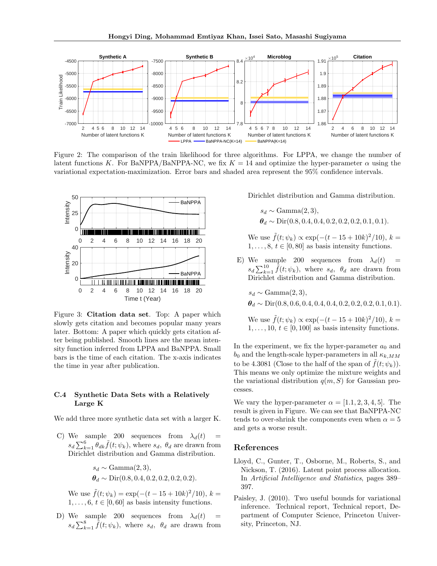<span id="page-4-3"></span>

Figure 2: The comparison of the train likelihood for three algorithms. For LPPA, we change the number of latent functions K. For BaNPPA/BaNPPA-NC, we fix  $K = 14$  and optimize the hyper-parameter  $\alpha$  using the variational expectation-maximization. Error bars and shaded area represent the 95% confidence intervals.

<span id="page-4-2"></span>

Figure 3: Citation data set. Top: A paper which slowly gets citation and becomes popular many years later. Bottom: A paper which quickly gets citation after being published. Smooth lines are the mean intensity function inferred from LPPA and BaNPPA. Small bars is the time of each citation. The x-axis indicates the time in year after publication.

### C.4 Synthetic Data Sets with a Relatively Large K

We add three more synthetic data set with a larger K.

C) We sample 200 sequences from  $\lambda_d(t)$  =  $s_d \sum_{k=1}^6 \theta_{dk} \tilde{f}(t; \psi_k)$ , where  $s_d$ ,  $\theta_d$  are drawn from Dirichlet distribution and Gamma distribution.

$$
s_d \sim \text{Gamma}(2, 3),
$$
  
\n $\theta_d \sim \text{Dir}(0.8, 0.4, 0.2, 0.2, 0.2, 0.2).$ 

We use  $\tilde{f}(t; \psi_k) = \exp(-(t - 15 + 10k)^2/10), k =$  $1, \ldots, 6, t \in [0, 60]$  as basis intensity functions.

D) We sample 200 sequences from  $\lambda_d(t)$  =  $s_d \sum_{k=1}^8 \tilde{f}(t; \psi_k)$ , where  $s_d$ ,  $\theta_d$  are drawn from Dirichlet distribution and Gamma distribution.

$$
s_d \sim \text{Gamma}(2, 3),
$$
  
\n $\theta_d \sim \text{Dir}(0.8, 0.4, 0.4, 0.2, 0.2, 0.2, 0.1, 0.1).$ 

We use  $\tilde{f}(t; \psi_k) \propto \exp(-(t - 15 + 10k)^2/10), k =$  $1, \ldots, 8, t \in [0, 80]$  as basis intensity functions.

E) We sample 200 sequences from  $\lambda_d(t)$  $s_d \sum_{k=1}^{10} \tilde{f}(t; \psi_k)$ , where  $s_d$ ,  $\theta_d$  are drawn from Dirichlet distribution and Gamma distribution.

$$
s_d \sim \text{Gamma}(2, 3),
$$
  
\n $\boldsymbol{\theta}_d \sim \text{Dir}(0.8, 0.6, 0.4, 0.4, 0.4, 0.2, 0.2, 0.2, 0.1, 0.1).$ 

We use  $\tilde{f}(t; \psi_k) \propto \exp(-(t - 15 + 10k)^2/10), k =$  $1, \ldots, 10, t \in [0, 100]$  as basis intensity functions.

In the experiment, we fix the hyper-parameter  $a_0$  and  $b_0$  and the length-scale hyper-parameters in all  $\kappa_{k,MM}$ to be 4.3081 (Close to the half of the span of  $\tilde{f}(t; \psi_k)$ ). This means we only optimize the mixture weights and the variational distribution  $q(m, S)$  for Gaussian processes.

We vary the hyper-parameter  $\alpha = \langle 1.1, 2, 3, 4, 5 \rangle$ . The result is given in Figure. We can see that BaNPPA-NC tends to over-shrink the components even when  $\alpha = 5$ and gets a worse result.

## References

- <span id="page-4-1"></span>Lloyd, C., Gunter, T., Osborne, M., Roberts, S., and Nickson, T. (2016). Latent point process allocation. In Artificial Intelligence and Statistics, pages 389– 397.
- <span id="page-4-0"></span>Paisley, J. (2010). Two useful bounds for variational inference. Technical report, Technical report, Department of Computer Science, Princeton University, Princeton, NJ.